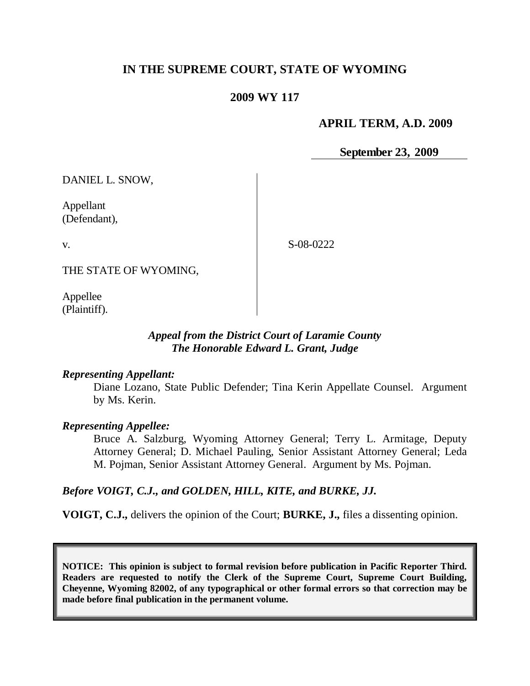# **IN THE SUPREME COURT, STATE OF WYOMING**

## **2009 WY 117**

### **APRIL TERM, A.D. 2009**

**September 23, 2009**

DANIEL L. SNOW,

Appellant (Defendant),

v.

S-08-0222

THE STATE OF WYOMING,

Appellee (Plaintiff).

## *Appeal from the District Court of Laramie County The Honorable Edward L. Grant, Judge*

#### *Representing Appellant:*

Diane Lozano, State Public Defender; Tina Kerin Appellate Counsel. Argument by Ms. Kerin.

### *Representing Appellee:*

Bruce A. Salzburg, Wyoming Attorney General; Terry L. Armitage, Deputy Attorney General; D. Michael Pauling, Senior Assistant Attorney General; Leda M. Pojman, Senior Assistant Attorney General. Argument by Ms. Pojman.

### *Before VOIGT, C.J., and GOLDEN, HILL, KITE, and BURKE, JJ.*

**VOIGT, C.J.,** delivers the opinion of the Court; **BURKE, J.,** files a dissenting opinion.

**NOTICE: This opinion is subject to formal revision before publication in Pacific Reporter Third. Readers are requested to notify the Clerk of the Supreme Court, Supreme Court Building, Cheyenne, Wyoming 82002, of any typographical or other formal errors so that correction may be made before final publication in the permanent volume.**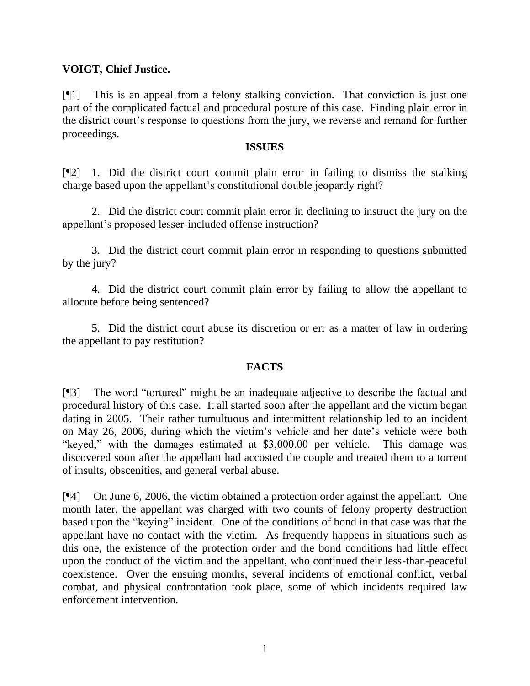## **VOIGT, Chief Justice.**

[¶1] This is an appeal from a felony stalking conviction. That conviction is just one part of the complicated factual and procedural posture of this case. Finding plain error in the district court's response to questions from the jury, we reverse and remand for further proceedings.

#### **ISSUES**

[¶2] 1. Did the district court commit plain error in failing to dismiss the stalking charge based upon the appellant's constitutional double jeopardy right?

2. Did the district court commit plain error in declining to instruct the jury on the appellant's proposed lesser-included offense instruction?

3. Did the district court commit plain error in responding to questions submitted by the jury?

4. Did the district court commit plain error by failing to allow the appellant to allocute before being sentenced?

5. Did the district court abuse its discretion or err as a matter of law in ordering the appellant to pay restitution?

# **FACTS**

[¶3] The word "tortured" might be an inadequate adjective to describe the factual and procedural history of this case. It all started soon after the appellant and the victim began dating in 2005. Their rather tumultuous and intermittent relationship led to an incident on May 26, 2006, during which the victim's vehicle and her date's vehicle were both "keyed," with the damages estimated at \$3,000.00 per vehicle. This damage was discovered soon after the appellant had accosted the couple and treated them to a torrent of insults, obscenities, and general verbal abuse.

[¶4] On June 6, 2006, the victim obtained a protection order against the appellant. One month later, the appellant was charged with two counts of felony property destruction based upon the "keying" incident. One of the conditions of bond in that case was that the appellant have no contact with the victim. As frequently happens in situations such as this one, the existence of the protection order and the bond conditions had little effect upon the conduct of the victim and the appellant, who continued their less-than-peaceful coexistence. Over the ensuing months, several incidents of emotional conflict, verbal combat, and physical confrontation took place, some of which incidents required law enforcement intervention.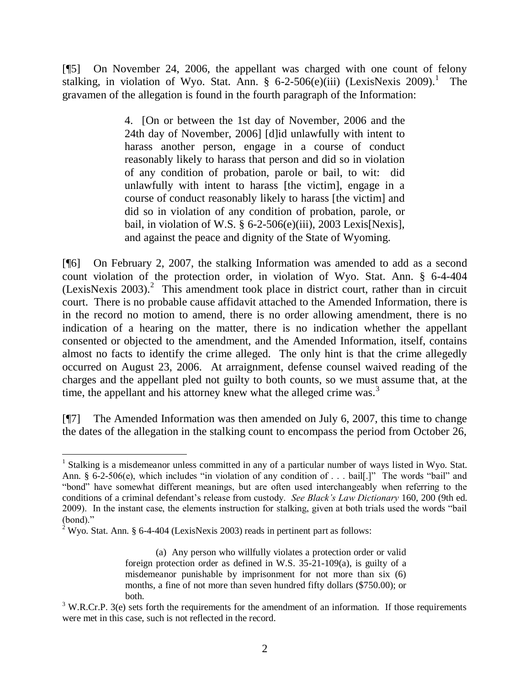[¶5] On November 24, 2006, the appellant was charged with one count of felony stalking, in violation of Wyo. Stat. Ann. § 6-2-506(e)(iii) (LexisNexis 2009).<sup>1</sup> The gravamen of the allegation is found in the fourth paragraph of the Information:

> 4. [On or between the 1st day of November, 2006 and the 24th day of November, 2006] [d]id unlawfully with intent to harass another person, engage in a course of conduct reasonably likely to harass that person and did so in violation of any condition of probation, parole or bail, to wit: did unlawfully with intent to harass [the victim], engage in a course of conduct reasonably likely to harass [the victim] and did so in violation of any condition of probation, parole, or bail, in violation of W.S. § 6-2-506(e)(iii), 2003 Lexis[Nexis], and against the peace and dignity of the State of Wyoming.

[¶6] On February 2, 2007, the stalking Information was amended to add as a second count violation of the protection order, in violation of Wyo. Stat. Ann. § 6-4-404  $(LexisNexis 2003).<sup>2</sup>$  This amendment took place in district court, rather than in circuit court. There is no probable cause affidavit attached to the Amended Information, there is in the record no motion to amend, there is no order allowing amendment, there is no indication of a hearing on the matter, there is no indication whether the appellant consented or objected to the amendment, and the Amended Information, itself, contains almost no facts to identify the crime alleged. The only hint is that the crime allegedly occurred on August 23, 2006. At arraignment, defense counsel waived reading of the charges and the appellant pled not guilty to both counts, so we must assume that, at the time, the appellant and his attorney knew what the alleged crime was. $3$ 

[¶7] The Amended Information was then amended on July 6, 2007, this time to change the dates of the allegation in the stalking count to encompass the period from October 26,

 <sup>1</sup> Stalking is a misdemeanor unless committed in any of a particular number of ways listed in Wyo. Stat. Ann. § 6-2-506(e), which includes "in violation of any condition of . . . bail[.]" The words "bail" and "bond" have somewhat different meanings, but are often used interchangeably when referring to the conditions of a criminal defendant's release from custody. *See Black's Law Dictionary* 160, 200 (9th ed. 2009). In the instant case, the elements instruction for stalking, given at both trials used the words "bail  $(bond)$ ."

<sup>&</sup>lt;sup>2</sup> Wyo. Stat. Ann. § 6-4-404 (LexisNexis 2003) reads in pertinent part as follows:

<sup>(</sup>a) Any person who willfully violates a protection order or valid foreign protection order as defined in W.S. 35-21-109(a), is guilty of a misdemeanor punishable by imprisonment for not more than six (6) months, a fine of not more than seven hundred fifty dollars (\$750.00); or both.

 $3$  W.R.Cr.P. 3(e) sets forth the requirements for the amendment of an information. If those requirements were met in this case, such is not reflected in the record.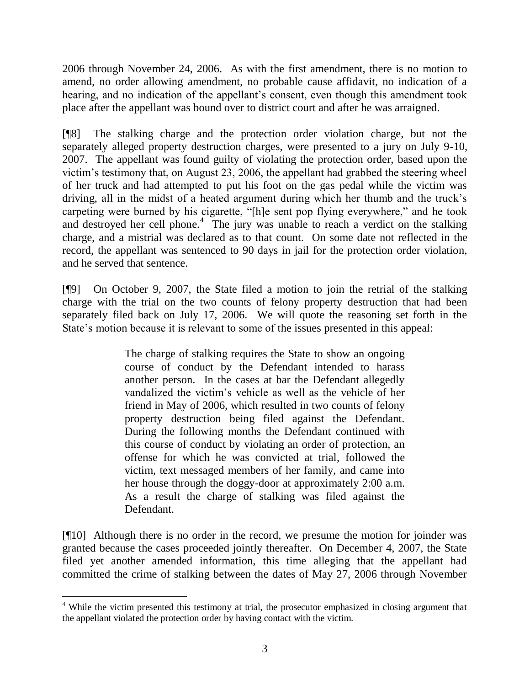2006 through November 24, 2006. As with the first amendment, there is no motion to amend, no order allowing amendment, no probable cause affidavit, no indication of a hearing, and no indication of the appellant's consent, even though this amendment took place after the appellant was bound over to district court and after he was arraigned.

[¶8] The stalking charge and the protection order violation charge, but not the separately alleged property destruction charges, were presented to a jury on July 9-10, 2007. The appellant was found guilty of violating the protection order, based upon the victim's testimony that, on August 23, 2006, the appellant had grabbed the steering wheel of her truck and had attempted to put his foot on the gas pedal while the victim was driving, all in the midst of a heated argument during which her thumb and the truck's carpeting were burned by his cigarette, "[h]e sent pop flying everywhere," and he took and destroyed her cell phone.<sup>4</sup> The jury was unable to reach a verdict on the stalking charge, and a mistrial was declared as to that count. On some date not reflected in the record, the appellant was sentenced to 90 days in jail for the protection order violation, and he served that sentence.

[¶9] On October 9, 2007, the State filed a motion to join the retrial of the stalking charge with the trial on the two counts of felony property destruction that had been separately filed back on July 17, 2006. We will quote the reasoning set forth in the State's motion because it is relevant to some of the issues presented in this appeal:

> The charge of stalking requires the State to show an ongoing course of conduct by the Defendant intended to harass another person. In the cases at bar the Defendant allegedly vandalized the victim's vehicle as well as the vehicle of her friend in May of 2006, which resulted in two counts of felony property destruction being filed against the Defendant. During the following months the Defendant continued with this course of conduct by violating an order of protection, an offense for which he was convicted at trial, followed the victim, text messaged members of her family, and came into her house through the doggy-door at approximately 2:00 a.m. As a result the charge of stalking was filed against the Defendant.

[¶10] Although there is no order in the record, we presume the motion for joinder was granted because the cases proceeded jointly thereafter. On December 4, 2007, the State filed yet another amended information, this time alleging that the appellant had committed the crime of stalking between the dates of May 27, 2006 through November

<sup>&</sup>lt;sup>4</sup> While the victim presented this testimony at trial, the prosecutor emphasized in closing argument that the appellant violated the protection order by having contact with the victim.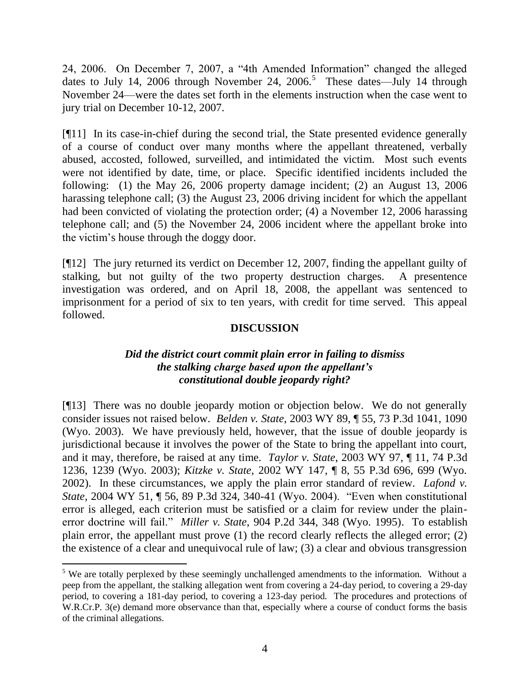24, 2006. On December 7, 2007, a "4th Amended Information" changed the alleged dates to July 14, 2006 through November 24, 2006.<sup>5</sup> These dates—July 14 through November 24—were the dates set forth in the elements instruction when the case went to jury trial on December 10-12, 2007.

[¶11] In its case-in-chief during the second trial, the State presented evidence generally of a course of conduct over many months where the appellant threatened, verbally abused, accosted, followed, surveilled, and intimidated the victim. Most such events were not identified by date, time, or place. Specific identified incidents included the following: (1) the May 26, 2006 property damage incident; (2) an August 13, 2006 harassing telephone call; (3) the August 23, 2006 driving incident for which the appellant had been convicted of violating the protection order; (4) a November 12, 2006 harassing telephone call; and (5) the November 24, 2006 incident where the appellant broke into the victim's house through the doggy door.

[¶12] The jury returned its verdict on December 12, 2007, finding the appellant guilty of stalking, but not guilty of the two property destruction charges. A presentence investigation was ordered, and on April 18, 2008, the appellant was sentenced to imprisonment for a period of six to ten years, with credit for time served. This appeal followed.

## **DISCUSSION**

## *Did the district court commit plain error in failing to dismiss the stalking charge based upon the appellant's constitutional double jeopardy right?*

[¶13] There was no double jeopardy motion or objection below. We do not generally consider issues not raised below. *Belden v. State*, 2003 WY 89, ¶ 55, 73 P.3d 1041, 1090 (Wyo. 2003). We have previously held, however, that the issue of double jeopardy is jurisdictional because it involves the power of the State to bring the appellant into court, and it may, therefore, be raised at any time. *Taylor v. State*, 2003 WY 97, ¶ 11, 74 P.3d 1236, 1239 (Wyo. 2003); *Kitzke v. State*, 2002 WY 147, ¶ 8, 55 P.3d 696, 699 (Wyo. 2002). In these circumstances, we apply the plain error standard of review. *Lafond v. State*, 2004 WY 51, ¶ 56, 89 P.3d 324, 340-41 (Wyo. 2004). "Even when constitutional error is alleged, each criterion must be satisfied or a claim for review under the plainerror doctrine will fail." *Miller v. State*, 904 P.2d 344, 348 (Wyo. 1995). To establish plain error, the appellant must prove (1) the record clearly reflects the alleged error; (2) the existence of a clear and unequivocal rule of law; (3) a clear and obvious transgression

 $5$  We are totally perplexed by these seemingly unchallenged amendments to the information. Without a peep from the appellant, the stalking allegation went from covering a 24-day period, to covering a 29-day period, to covering a 181-day period, to covering a 123-day period. The procedures and protections of W.R.Cr.P. 3(e) demand more observance than that, especially where a course of conduct forms the basis of the criminal allegations.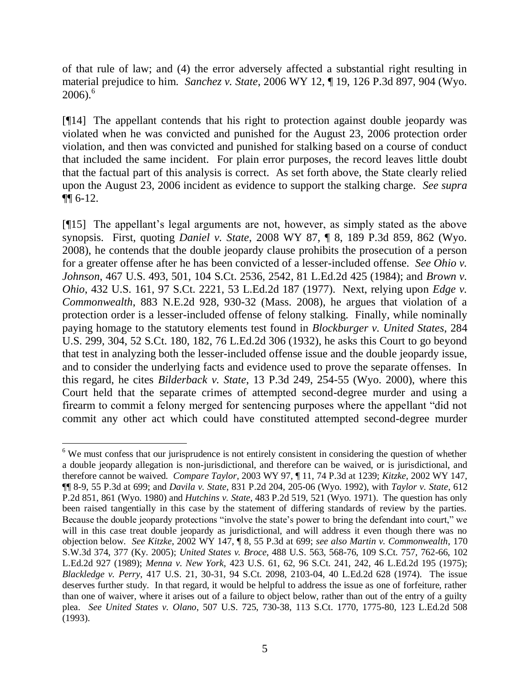of that rule of law; and (4) the error adversely affected a substantial right resulting in material prejudice to him. *Sanchez v. State*, 2006 WY 12, ¶ 19, 126 P.3d 897, 904 (Wyo.  $2006$ .<sup>6</sup>

[¶14] The appellant contends that his right to protection against double jeopardy was violated when he was convicted and punished for the August 23, 2006 protection order violation, and then was convicted and punished for stalking based on a course of conduct that included the same incident. For plain error purposes, the record leaves little doubt that the factual part of this analysis is correct. As set forth above, the State clearly relied upon the August 23, 2006 incident as evidence to support the stalking charge. *See supra* ¶¶ 6-12.

[¶15] The appellant's legal arguments are not, however, as simply stated as the above synopsis. First, quoting *Daniel v. State*, 2008 WY 87, ¶ 8, 189 P.3d 859, 862 (Wyo. 2008), he contends that the double jeopardy clause prohibits the prosecution of a person for a greater offense after he has been convicted of a lesser-included offense. *See Ohio v. Johnson*, 467 U.S. 493, 501, 104 S.Ct. 2536, 2542, 81 L.Ed.2d 425 (1984); and *Brown v. Ohio*, 432 U.S. 161, 97 S.Ct. 2221, 53 L.Ed.2d 187 (1977). Next, relying upon *Edge v. Commonwealth*, 883 N.E.2d 928, 930-32 (Mass. 2008), he argues that violation of a protection order is a lesser-included offense of felony stalking. Finally, while nominally paying homage to the statutory elements test found in *Blockburger v. United States*, 284 U.S. 299, 304, 52 S.Ct. 180, 182, 76 L.Ed.2d 306 (1932), he asks this Court to go beyond that test in analyzing both the lesser-included offense issue and the double jeopardy issue, and to consider the underlying facts and evidence used to prove the separate offenses. In this regard, he cites *Bilderback v. State*, 13 P.3d 249, 254-55 (Wyo. 2000), where this Court held that the separate crimes of attempted second-degree murder and using a firearm to commit a felony merged for sentencing purposes where the appellant "did not commit any other act which could have constituted attempted second-degree murder

 <sup>6</sup> We must confess that our jurisprudence is not entirely consistent in considering the question of whether a double jeopardy allegation is non-jurisdictional, and therefore can be waived, or is jurisdictional, and therefore cannot be waived. *Compare Taylor*, 2003 WY 97, ¶ 11, 74 P.3d at 1239; *Kitzke*, 2002 WY 147, ¶¶ 8-9, 55 P.3d at 699; and *Davila v. State*, 831 P.2d 204, 205-06 (Wyo. 1992), with *Taylor v. State*, 612 P.2d 851, 861 (Wyo. 1980) and *Hutchins v. State*, 483 P.2d 519, 521 (Wyo. 1971). The question has only been raised tangentially in this case by the statement of differing standards of review by the parties. Because the double jeopardy protections "involve the state's power to bring the defendant into court," we will in this case treat double jeopardy as jurisdictional, and will address it even though there was no objection below. *See Kitzke*, 2002 WY 147, ¶ 8, 55 P.3d at 699; *see also Martin v. Commonwealth*, 170 S.W.3d 374, 377 (Ky. 2005); *United States v. Broce*, 488 U.S. 563, 568-76, 109 S.Ct. 757, 762-66, 102 L.Ed.2d 927 (1989); *Menna v. New York*, 423 U.S. 61, 62, 96 S.Ct. 241, 242, 46 L.Ed.2d 195 (1975); *Blackledge v. Perry*, 417 U.S. 21, 30-31, 94 S.Ct. 2098, 2103-04, 40 L.Ed.2d 628 (1974). The issue deserves further study. In that regard, it would be helpful to address the issue as one of forfeiture, rather than one of waiver, where it arises out of a failure to object below, rather than out of the entry of a guilty plea. *See United States v. Olano*, 507 U.S. 725, 730-38, 113 S.Ct. 1770, 1775-80, 123 L.Ed.2d 508 (1993).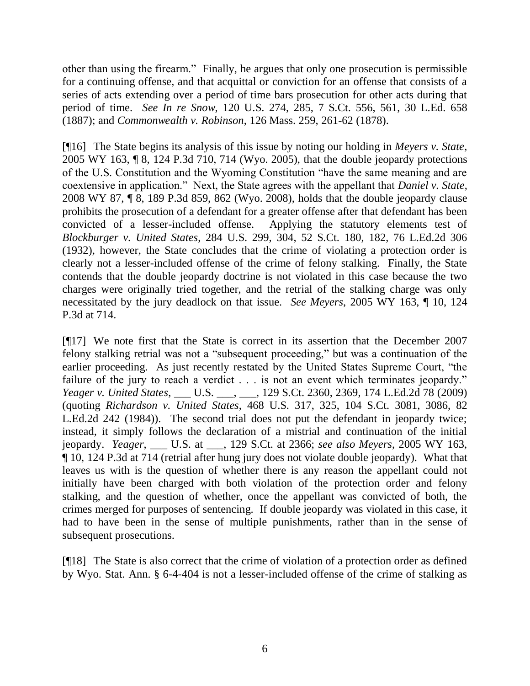other than using the firearm." Finally, he argues that only one prosecution is permissible for a continuing offense, and that acquittal or conviction for an offense that consists of a series of acts extending over a period of time bars prosecution for other acts during that period of time. *See In re Snow*, 120 U.S. 274, 285, 7 S.Ct. 556, 561, 30 L.Ed. 658 (1887); and *Commonwealth v. Robinson*, 126 Mass. 259, 261-62 (1878).

[¶16] The State begins its analysis of this issue by noting our holding in *Meyers v. State*, 2005 WY 163, ¶ 8, 124 P.3d 710, 714 (Wyo. 2005), that the double jeopardy protections of the U.S. Constitution and the Wyoming Constitution "have the same meaning and are coextensive in application.‖ Next, the State agrees with the appellant that *Daniel v. State*, 2008 WY 87, ¶ 8, 189 P.3d 859, 862 (Wyo. 2008), holds that the double jeopardy clause prohibits the prosecution of a defendant for a greater offense after that defendant has been convicted of a lesser-included offense. Applying the statutory elements test of *Blockburger v. United States*, 284 U.S. 299, 304, 52 S.Ct. 180, 182, 76 L.Ed.2d 306 (1932), however, the State concludes that the crime of violating a protection order is clearly not a lesser-included offense of the crime of felony stalking. Finally, the State contends that the double jeopardy doctrine is not violated in this case because the two charges were originally tried together, and the retrial of the stalking charge was only necessitated by the jury deadlock on that issue. *See Meyers*, 2005 WY 163, ¶ 10, 124 P.3d at 714.

[¶17] We note first that the State is correct in its assertion that the December 2007 felony stalking retrial was not a "subsequent proceeding," but was a continuation of the earlier proceeding. As just recently restated by the United States Supreme Court, "the failure of the jury to reach a verdict . . . is not an event which terminates jeopardy." *Yeager v. United States*, \_\_\_ U.S. \_\_\_, \_\_\_, 129 S.Ct. 2360, 2369, 174 L.Ed.2d 78 (2009) (quoting *Richardson v. United States*, 468 U.S. 317, 325, 104 S.Ct. 3081, 3086, 82 L.Ed.2d 242 (1984)). The second trial does not put the defendant in jeopardy twice; instead, it simply follows the declaration of a mistrial and continuation of the initial jeopardy. *Yeager*, \_\_\_ U.S. at \_\_\_, 129 S.Ct. at 2366; *see also Meyers*, 2005 WY 163, ¶ 10, 124 P.3d at 714 (retrial after hung jury does not violate double jeopardy). What that leaves us with is the question of whether there is any reason the appellant could not initially have been charged with both violation of the protection order and felony stalking, and the question of whether, once the appellant was convicted of both, the crimes merged for purposes of sentencing. If double jeopardy was violated in this case, it had to have been in the sense of multiple punishments, rather than in the sense of subsequent prosecutions.

[¶18] The State is also correct that the crime of violation of a protection order as defined by Wyo. Stat. Ann. § 6-4-404 is not a lesser-included offense of the crime of stalking as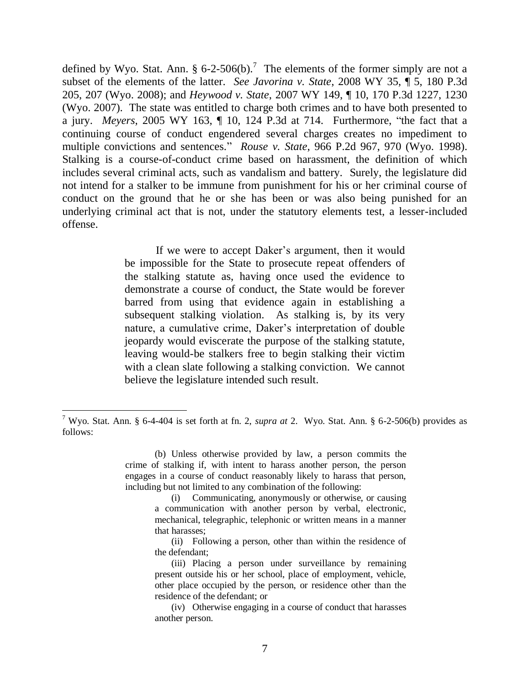defined by Wyo. Stat. Ann.  $\S 6$ -2-506(b).<sup>7</sup> The elements of the former simply are not a subset of the elements of the latter. *See Javorina v. State*, 2008 WY 35, ¶ 5, 180 P.3d 205, 207 (Wyo. 2008); and *Heywood v. State*, 2007 WY 149, ¶ 10, 170 P.3d 1227, 1230 (Wyo. 2007). The state was entitled to charge both crimes and to have both presented to a jury. *Meyers*, 2005 WY 163,  $\P$  10, 124 P.3d at 714. Furthermore, "the fact that a continuing course of conduct engendered several charges creates no impediment to multiple convictions and sentences." *Rouse v. State*, 966 P.2d 967, 970 (Wyo. 1998). Stalking is a course-of-conduct crime based on harassment, the definition of which includes several criminal acts, such as vandalism and battery. Surely, the legislature did not intend for a stalker to be immune from punishment for his or her criminal course of conduct on the ground that he or she has been or was also being punished for an underlying criminal act that is not, under the statutory elements test, a lesser-included offense.

> If we were to accept Daker's argument, then it would be impossible for the State to prosecute repeat offenders of the stalking statute as, having once used the evidence to demonstrate a course of conduct, the State would be forever barred from using that evidence again in establishing a subsequent stalking violation. As stalking is, by its very nature, a cumulative crime, Daker's interpretation of double jeopardy would eviscerate the purpose of the stalking statute, leaving would-be stalkers free to begin stalking their victim with a clean slate following a stalking conviction. We cannot believe the legislature intended such result.

<sup>7</sup> Wyo. Stat. Ann. § 6-4-404 is set forth at fn. 2, *supra at* 2. Wyo. Stat. Ann. § 6-2-506(b) provides as follows:

<sup>(</sup>b) Unless otherwise provided by law, a person commits the crime of stalking if, with intent to harass another person, the person engages in a course of conduct reasonably likely to harass that person, including but not limited to any combination of the following:

<sup>(</sup>i) Communicating, anonymously or otherwise, or causing a communication with another person by verbal, electronic, mechanical, telegraphic, telephonic or written means in a manner that harasses;

<sup>(</sup>ii) Following a person, other than within the residence of the defendant;

<sup>(</sup>iii) Placing a person under surveillance by remaining present outside his or her school, place of employment, vehicle, other place occupied by the person, or residence other than the residence of the defendant; or

<sup>(</sup>iv) Otherwise engaging in a course of conduct that harasses another person.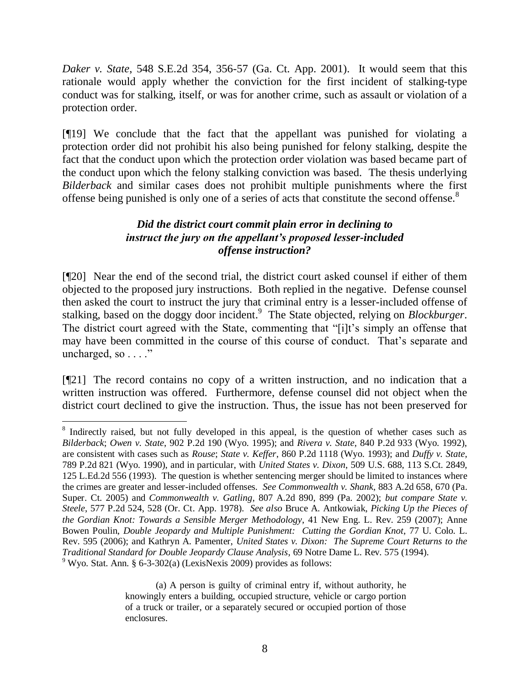*Daker v. State*, 548 S.E.2d 354, 356-57 (Ga. Ct. App. 2001). It would seem that this rationale would apply whether the conviction for the first incident of stalking-type conduct was for stalking, itself, or was for another crime, such as assault or violation of a protection order.

[¶19] We conclude that the fact that the appellant was punished for violating a protection order did not prohibit his also being punished for felony stalking, despite the fact that the conduct upon which the protection order violation was based became part of the conduct upon which the felony stalking conviction was based. The thesis underlying *Bilderback* and similar cases does not prohibit multiple punishments where the first offense being punished is only one of a series of acts that constitute the second offense.<sup>8</sup>

## *Did the district court commit plain error in declining to instruct the jury on the appellant's proposed lesser-included offense instruction?*

[¶20] Near the end of the second trial, the district court asked counsel if either of them objected to the proposed jury instructions. Both replied in the negative. Defense counsel then asked the court to instruct the jury that criminal entry is a lesser-included offense of stalking, based on the doggy door incident. 9 The State objected, relying on *Blockburger*. The district court agreed with the State, commenting that "[i]t's simply an offense that may have been committed in the course of this course of conduct. That's separate and uncharged, so  $\dots$ ."

[¶21] The record contains no copy of a written instruction, and no indication that a written instruction was offered. Furthermore, defense counsel did not object when the district court declined to give the instruction. Thus, the issue has not been preserved for

<sup>&</sup>lt;sup>8</sup> Indirectly raised, but not fully developed in this appeal, is the question of whether cases such as *Bilderback*; *Owen v. State*, 902 P.2d 190 (Wyo. 1995); and *Rivera v. State*, 840 P.2d 933 (Wyo. 1992), are consistent with cases such as *Rouse*; *State v. Keffer*, 860 P.2d 1118 (Wyo. 1993); and *Duffy v. State*, 789 P.2d 821 (Wyo. 1990), and in particular, with *United States v. Dixon*, 509 U.S. 688, 113 S.Ct. 2849, 125 L.Ed.2d 556 (1993). The question is whether sentencing merger should be limited to instances where the crimes are greater and lesser-included offenses. *See Commonwealth v. Shank*, 883 A.2d 658, 670 (Pa. Super. Ct. 2005) and *Commonwealth v. Gatling*, 807 A.2d 890, 899 (Pa. 2002); *but compare State v. Steele*, 577 P.2d 524, 528 (Or. Ct. App. 1978). *See also* Bruce A. Antkowiak, *Picking Up the Pieces of the Gordian Knot: Towards a Sensible Merger Methodology*, 41 New Eng. L. Rev. 259 (2007); Anne Bowen Poulin, *Double Jeopardy and Multiple Punishment: Cutting the Gordian Knot*, 77 U. Colo. L. Rev. 595 (2006); and Kathryn A. Pamenter, *United States v. Dixon: The Supreme Court Returns to the Traditional Standard for Double Jeopardy Clause Analysis*, 69 Notre Dame L. Rev. 575 (1994). <sup>9</sup> Wyo. Stat. Ann. § 6-3-302(a) (LexisNexis 2009) provides as follows:

<sup>(</sup>a) A person is guilty of criminal entry if, without authority, he knowingly enters a building, occupied structure, vehicle or cargo portion of a truck or trailer, or a separately secured or occupied portion of those enclosures.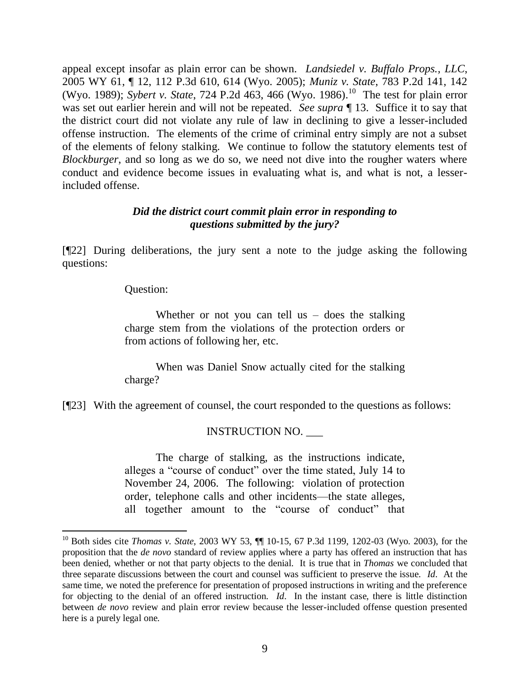appeal except insofar as plain error can be shown. *Landsiedel v. Buffalo Props., LLC*, 2005 WY 61, ¶ 12, 112 P.3d 610, 614 (Wyo. 2005); *Muniz v. State*, 783 P.2d 141, 142 (Wyo. 1989); *Sybert v. State*, 724 P.2d 463, 466 (Wyo. 1986).<sup>10</sup> The test for plain error was set out earlier herein and will not be repeated. *See supra* ¶ 13. Suffice it to say that the district court did not violate any rule of law in declining to give a lesser-included offense instruction. The elements of the crime of criminal entry simply are not a subset of the elements of felony stalking. We continue to follow the statutory elements test of *Blockburger*, and so long as we do so, we need not dive into the rougher waters where conduct and evidence become issues in evaluating what is, and what is not, a lesserincluded offense.

## *Did the district court commit plain error in responding to questions submitted by the jury?*

[¶22] During deliberations, the jury sent a note to the judge asking the following questions:

Question:

Whether or not you can tell us  $-$  does the stalking charge stem from the violations of the protection orders or from actions of following her, etc.

When was Daniel Snow actually cited for the stalking charge?

[¶23] With the agreement of counsel, the court responded to the questions as follows:

# INSTRUCTION NO. \_\_\_

The charge of stalking, as the instructions indicate, alleges a "course of conduct" over the time stated, July 14 to November 24, 2006. The following: violation of protection order, telephone calls and other incidents—the state alleges, all together amount to the "course of conduct" that

<sup>10</sup> Both sides cite *Thomas v. State*, 2003 WY 53, ¶¶ 10-15, 67 P.3d 1199, 1202-03 (Wyo. 2003), for the proposition that the *de novo* standard of review applies where a party has offered an instruction that has been denied, whether or not that party objects to the denial. It is true that in *Thomas* we concluded that three separate discussions between the court and counsel was sufficient to preserve the issue. *Id*. At the same time, we noted the preference for presentation of proposed instructions in writing and the preference for objecting to the denial of an offered instruction. *Id*. In the instant case, there is little distinction between *de novo* review and plain error review because the lesser-included offense question presented here is a purely legal one.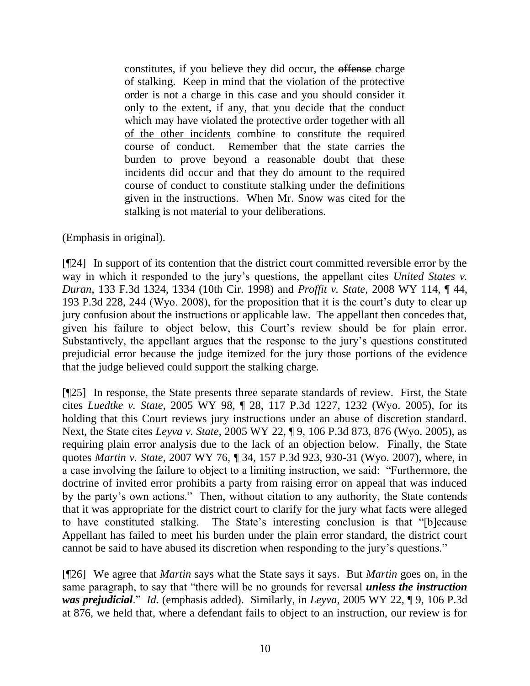constitutes, if you believe they did occur, the offense charge of stalking. Keep in mind that the violation of the protective order is not a charge in this case and you should consider it only to the extent, if any, that you decide that the conduct which may have violated the protective order together with all of the other incidents combine to constitute the required course of conduct. Remember that the state carries the burden to prove beyond a reasonable doubt that these incidents did occur and that they do amount to the required course of conduct to constitute stalking under the definitions given in the instructions. When Mr. Snow was cited for the stalking is not material to your deliberations.

## (Emphasis in original).

[¶24] In support of its contention that the district court committed reversible error by the way in which it responded to the jury's questions, the appellant cites *United States v. Duran*, 133 F.3d 1324, 1334 (10th Cir. 1998) and *Proffit v. State*, 2008 WY 114, ¶ 44, 193 P.3d 228, 244 (Wyo. 2008), for the proposition that it is the court's duty to clear up jury confusion about the instructions or applicable law. The appellant then concedes that, given his failure to object below, this Court's review should be for plain error. Substantively, the appellant argues that the response to the jury's questions constituted prejudicial error because the judge itemized for the jury those portions of the evidence that the judge believed could support the stalking charge.

[¶25] In response, the State presents three separate standards of review. First, the State cites *Luedtke v. State*, 2005 WY 98, ¶ 28, 117 P.3d 1227, 1232 (Wyo. 2005), for its holding that this Court reviews jury instructions under an abuse of discretion standard. Next, the State cites *Leyva v. State*, 2005 WY 22, ¶ 9, 106 P.3d 873, 876 (Wyo. 2005), as requiring plain error analysis due to the lack of an objection below. Finally, the State quotes *Martin v. State*, 2007 WY 76, ¶ 34, 157 P.3d 923, 930-31 (Wyo. 2007), where, in a case involving the failure to object to a limiting instruction, we said: "Furthermore, the doctrine of invited error prohibits a party from raising error on appeal that was induced by the party's own actions." Then, without citation to any authority, the State contends that it was appropriate for the district court to clarify for the jury what facts were alleged to have constituted stalking. The State's interesting conclusion is that "[b]ecause Appellant has failed to meet his burden under the plain error standard, the district court cannot be said to have abused its discretion when responding to the jury's questions."

[¶26] We agree that *Martin* says what the State says it says. But *Martin* goes on, in the same paragraph, to say that "there will be no grounds for reversal *unless the instruction was prejudicial.*" *Id.* (emphasis added). Similarly, in *Leyva*, 2005 WY 22, 19, 106 P.3d at 876, we held that, where a defendant fails to object to an instruction, our review is for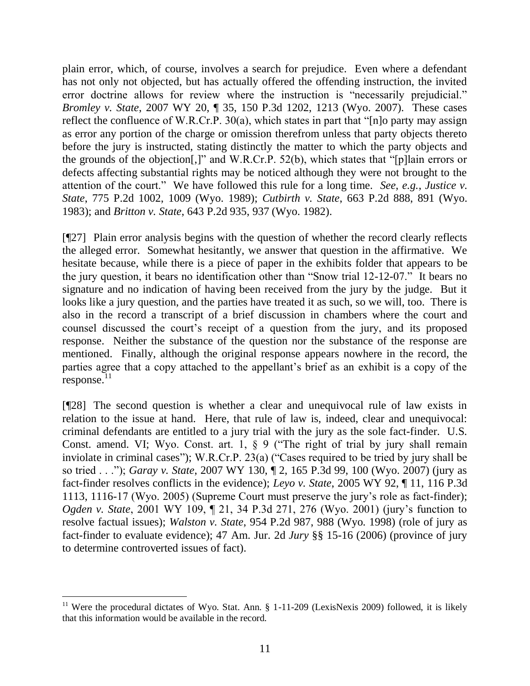plain error, which, of course, involves a search for prejudice. Even where a defendant has not only not objected, but has actually offered the offending instruction, the invited error doctrine allows for review where the instruction is "necessarily prejudicial." *Bromley v. State*, 2007 WY 20, ¶ 35, 150 P.3d 1202, 1213 (Wyo. 2007). These cases reflect the confluence of W.R.Cr.P.  $30(a)$ , which states in part that "[n]o party may assign as error any portion of the charge or omission therefrom unless that party objects thereto before the jury is instructed, stating distinctly the matter to which the party objects and the grounds of the objection[,]" and W.R.Cr.P. 52(b), which states that "[p]lain errors or defects affecting substantial rights may be noticed although they were not brought to the attention of the court." We have followed this rule for a long time. *See*, *e.g.*, *Justice v. State*, 775 P.2d 1002, 1009 (Wyo. 1989); *Cutbirth v. State*, 663 P.2d 888, 891 (Wyo. 1983); and *Britton v. State*, 643 P.2d 935, 937 (Wyo. 1982).

[¶27] Plain error analysis begins with the question of whether the record clearly reflects the alleged error. Somewhat hesitantly, we answer that question in the affirmative. We hesitate because, while there is a piece of paper in the exhibits folder that appears to be the jury question, it bears no identification other than "Snow trial  $12-12-07$ ." It bears no signature and no indication of having been received from the jury by the judge. But it looks like a jury question, and the parties have treated it as such, so we will, too. There is also in the record a transcript of a brief discussion in chambers where the court and counsel discussed the court's receipt of a question from the jury, and its proposed response. Neither the substance of the question nor the substance of the response are mentioned. Finally, although the original response appears nowhere in the record, the parties agree that a copy attached to the appellant's brief as an exhibit is a copy of the response.<sup>11</sup>

[¶28] The second question is whether a clear and unequivocal rule of law exists in relation to the issue at hand. Here, that rule of law is, indeed, clear and unequivocal: criminal defendants are entitled to a jury trial with the jury as the sole fact-finder. U.S. Const. amend. VI; Wyo. Const. art. 1,  $\S$  9 ("The right of trial by jury shall remain inviolate in criminal cases"); W.R.Cr.P.  $23(a)$  ("Cases required to be tried by jury shall be so tried . . .‖); *Garay v. State*, 2007 WY 130, ¶ 2, 165 P.3d 99, 100 (Wyo. 2007) (jury as fact-finder resolves conflicts in the evidence); *Leyo v. State*, 2005 WY 92, ¶ 11, 116 P.3d 1113, 1116-17 (Wyo. 2005) (Supreme Court must preserve the jury's role as fact-finder); *Ogden v. State*, 2001 WY 109, ¶ 21, 34 P.3d 271, 276 (Wyo. 2001) (jury's function to resolve factual issues); *Walston v. State*, 954 P.2d 987, 988 (Wyo. 1998) (role of jury as fact-finder to evaluate evidence); 47 Am. Jur. 2d *Jury* §§ 15-16 (2006) (province of jury to determine controverted issues of fact).

<sup>&</sup>lt;sup>11</sup> Were the procedural dictates of Wyo. Stat. Ann.  $\S$  1-11-209 (LexisNexis 2009) followed, it is likely that this information would be available in the record.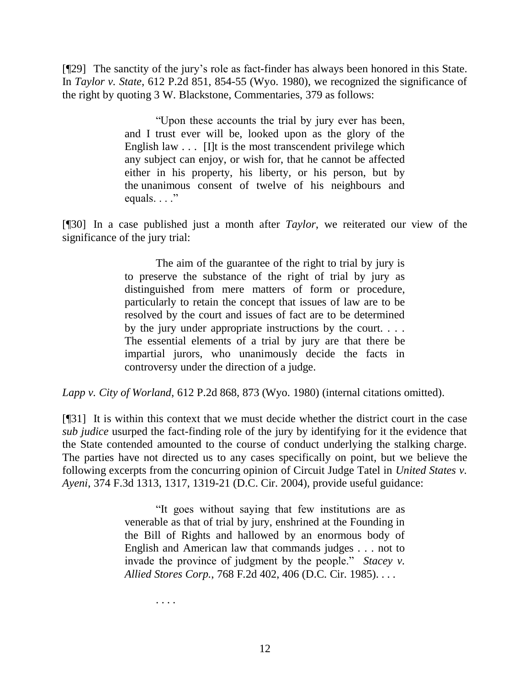[¶29] The sanctity of the jury's role as fact-finder has always been honored in this State. In *Taylor v. State*, 612 P.2d 851, 854-55 (Wyo. 1980), we recognized the significance of the right by quoting 3 W. Blackstone, Commentaries, 379 as follows:

> ―Upon these accounts the trial by jury ever has been, and I trust ever will be, looked upon as the glory of the English law  $\ldots$  [I]t is the most transcendent privilege which any subject can enjoy, or wish for, that he cannot be affected either in his property, his liberty, or his person, but by the unanimous consent of twelve of his neighbours and equals.  $\ldots$ "

[¶30] In a case published just a month after *Taylor*, we reiterated our view of the significance of the jury trial:

> The aim of the guarantee of the right to trial by jury is to preserve the substance of the right of trial by jury as distinguished from mere matters of form or procedure, particularly to retain the concept that issues of law are to be resolved by the court and issues of fact are to be determined by the jury under appropriate instructions by the court. . . . The essential elements of a trial by jury are that there be impartial jurors, who unanimously decide the facts in controversy under the direction of a judge.

*Lapp v. City of Worland*, 612 P.2d 868, 873 (Wyo. 1980) (internal citations omitted).

[¶31] It is within this context that we must decide whether the district court in the case *sub judice* usurped the fact-finding role of the jury by identifying for it the evidence that the State contended amounted to the course of conduct underlying the stalking charge. The parties have not directed us to any cases specifically on point, but we believe the following excerpts from the concurring opinion of Circuit Judge Tatel in *United States v. Ayeni*, 374 F.3d 1313, 1317, 1319-21 (D.C. Cir. 2004), provide useful guidance:

> ―It goes without saying that few institutions are as venerable as that of trial by jury, enshrined at the Founding in the Bill of Rights and hallowed by an enormous body of English and American law that commands judges . . . not to invade the province of judgment by the people." *Stacey v. Allied Stores Corp.*, 768 F.2d 402, 406 (D.C. Cir. 1985). . . .

> > . . . .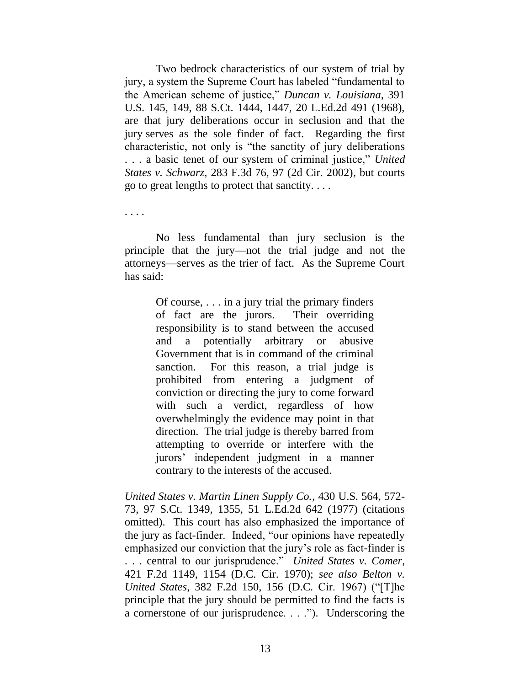Two bedrock characteristics of our system of trial by jury, a system the Supreme Court has labeled "fundamental to the American scheme of justice," *Duncan v. Louisiana*, 391 U.S. 145, 149, 88 S.Ct. 1444, 1447, 20 L.Ed.2d 491 (1968), are that jury deliberations occur in seclusion and that the jury serves as the sole finder of fact. Regarding the first characteristic, not only is "the sanctity of jury deliberations" ... a basic tenet of our system of criminal justice," United *States v. Schwarz*, 283 F.3d 76, 97 (2d Cir. 2002), but courts go to great lengths to protect that sanctity. . . .

. . . .

No less fundamental than jury seclusion is the principle that the jury—not the trial judge and not the attorneys—serves as the trier of fact. As the Supreme Court has said:

> Of course, . . . in a jury trial the primary finders of fact are the jurors. Their overriding responsibility is to stand between the accused and a potentially arbitrary or abusive Government that is in command of the criminal sanction. For this reason, a trial judge is prohibited from entering a judgment of conviction or directing the jury to come forward with such a verdict, regardless of how overwhelmingly the evidence may point in that direction. The trial judge is thereby barred from attempting to override or interfere with the jurors' independent judgment in a manner contrary to the interests of the accused.

*United States v. Martin Linen Supply Co.*, 430 U.S. 564, 572- 73, 97 S.Ct. 1349, 1355, 51 L.Ed.2d 642 (1977) (citations omitted). This court has also emphasized the importance of the jury as fact-finder. Indeed, "our opinions have repeatedly emphasized our conviction that the jury's role as fact-finder is . . . central to our jurisprudence.‖ *United States v. Comer*, 421 F.2d 1149, 1154 (D.C. Cir. 1970); *see also Belton v. United States*, 382 F.2d 150, 156 (D.C. Cir. 1967) ("[T]he principle that the jury should be permitted to find the facts is a cornerstone of our jurisprudence.  $\ldots$ .  $\ldots$ . Underscoring the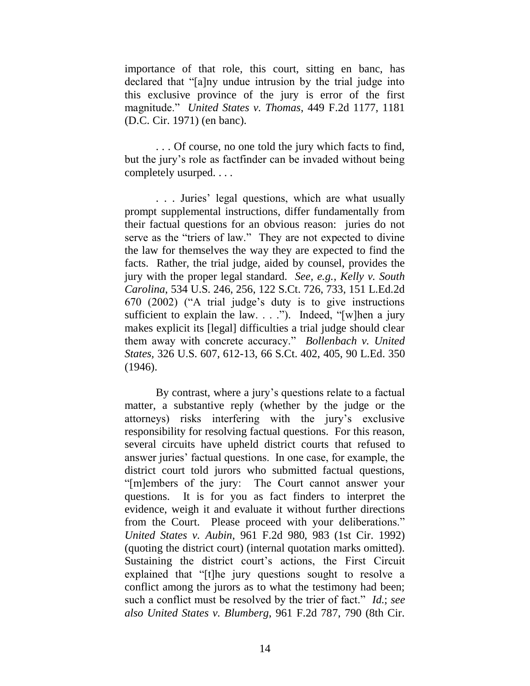importance of that role, this court, sitting en banc, has declared that "[a]ny undue intrusion by the trial judge into this exclusive province of the jury is error of the first magnitude.‖ *United States v. Thomas*, 449 F.2d 1177, 1181 (D.C. Cir. 1971) (en banc).

. . . Of course, no one told the jury which facts to find, but the jury's role as factfinder can be invaded without being completely usurped. . . .

. . . Juries' legal questions, which are what usually prompt supplemental instructions, differ fundamentally from their factual questions for an obvious reason: juries do not serve as the "triers of law." They are not expected to divine the law for themselves the way they are expected to find the facts. Rather, the trial judge, aided by counsel, provides the jury with the proper legal standard. *See, e.g.*, *Kelly v. South Carolina*, 534 U.S. 246, 256, 122 S.Ct. 726, 733, 151 L.Ed.2d 670 (2002) ("A trial judge's duty is to give instructions sufficient to explain the law.  $\ldots$  ."). Indeed, "[w]hen a jury makes explicit its [legal] difficulties a trial judge should clear them away with concrete accuracy." *Bollenbach v. United States,* 326 U.S. 607, 612-13, 66 S.Ct. 402, 405, 90 L.Ed. 350 (1946).

By contrast, where a jury's questions relate to a factual matter, a substantive reply (whether by the judge or the attorneys) risks interfering with the jury's exclusive responsibility for resolving factual questions. For this reason, several circuits have upheld district courts that refused to answer juries' factual questions. In one case, for example, the district court told jurors who submitted factual questions, "[m]embers of the jury: The Court cannot answer your questions. It is for you as fact finders to interpret the evidence, weigh it and evaluate it without further directions from the Court. Please proceed with your deliberations." *United States v. Aubin*, 961 F.2d 980, 983 (1st Cir. 1992) (quoting the district court) (internal quotation marks omitted). Sustaining the district court's actions, the First Circuit explained that "[t]he jury questions sought to resolve a conflict among the jurors as to what the testimony had been; such a conflict must be resolved by the trier of fact." *Id.*; *see also United States v. Blumberg*, 961 F.2d 787, 790 (8th Cir.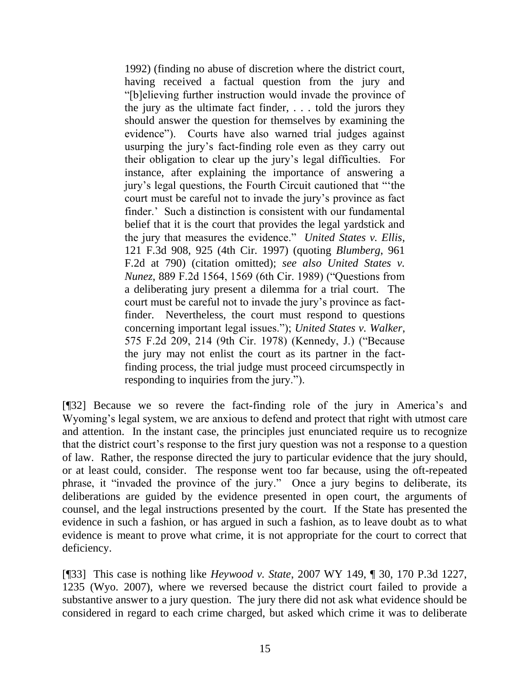1992) (finding no abuse of discretion where the district court, having received a factual question from the jury and ―[b]elieving further instruction would invade the province of the jury as the ultimate fact finder, . . . told the jurors they should answer the question for themselves by examining the evidence"). Courts have also warned trial judges against usurping the jury's fact-finding role even as they carry out their obligation to clear up the jury's legal difficulties. For instance, after explaining the importance of answering a jury's legal questions, the Fourth Circuit cautioned that "the court must be careful not to invade the jury's province as fact finder.' Such a distinction is consistent with our fundamental belief that it is the court that provides the legal yardstick and the jury that measures the evidence." *United States v. Ellis*, 121 F.3d 908, 925 (4th Cir. 1997) (quoting *Blumberg*, 961 F.2d at 790) (citation omitted); *see also United States v. Nunez*, 889 F.2d 1564, 1569 (6th Cir. 1989) ("Questions from a deliberating jury present a dilemma for a trial court. The court must be careful not to invade the jury's province as factfinder. Nevertheless, the court must respond to questions concerning important legal issues.‖); *United States v. Walker*, 575 F.2d 209, 214 (9th Cir. 1978) (Kennedy, J.) ("Because the jury may not enlist the court as its partner in the factfinding process, the trial judge must proceed circumspectly in responding to inquiries from the jury.").

[¶32] Because we so revere the fact-finding role of the jury in America's and Wyoming's legal system, we are anxious to defend and protect that right with utmost care and attention. In the instant case, the principles just enunciated require us to recognize that the district court's response to the first jury question was not a response to a question of law. Rather, the response directed the jury to particular evidence that the jury should, or at least could, consider. The response went too far because, using the oft-repeated phrase, it "invaded the province of the jury." Once a jury begins to deliberate, its deliberations are guided by the evidence presented in open court, the arguments of counsel, and the legal instructions presented by the court. If the State has presented the evidence in such a fashion, or has argued in such a fashion, as to leave doubt as to what evidence is meant to prove what crime, it is not appropriate for the court to correct that deficiency.

[¶33] This case is nothing like *Heywood v. State*, 2007 WY 149, ¶ 30, 170 P.3d 1227, 1235 (Wyo. 2007), where we reversed because the district court failed to provide a substantive answer to a jury question. The jury there did not ask what evidence should be considered in regard to each crime charged, but asked which crime it was to deliberate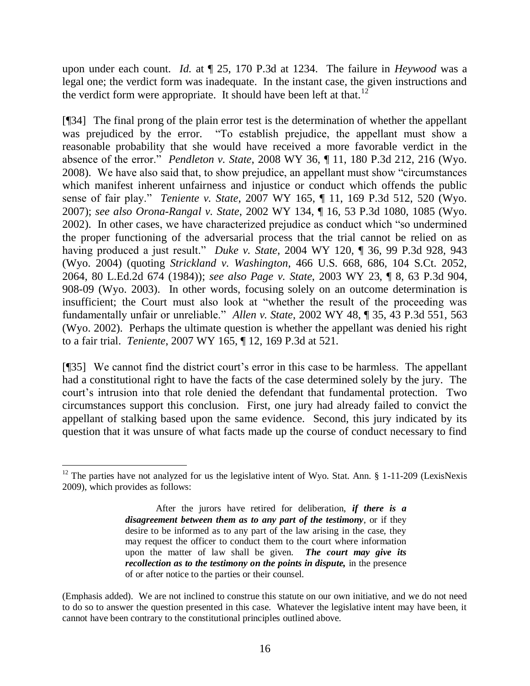upon under each count. *Id.* at ¶ 25, 170 P.3d at 1234. The failure in *Heywood* was a legal one; the verdict form was inadequate. In the instant case, the given instructions and the verdict form were appropriate. It should have been left at that.<sup>12</sup>

[¶34] The final prong of the plain error test is the determination of whether the appellant was prejudiced by the error. "To establish prejudice, the appellant must show a reasonable probability that she would have received a more favorable verdict in the absence of the error." *Pendleton v. State*, 2008 WY 36, ¶ 11, 180 P.3d 212, 216 (Wyo. 2008). We have also said that, to show prejudice, an appellant must show "circumstances" which manifest inherent unfairness and injustice or conduct which offends the public sense of fair play.‖ *Teniente v. State*, 2007 WY 165, ¶ 11, 169 P.3d 512, 520 (Wyo. 2007); *see also Orona-Rangal v. State*, 2002 WY 134, ¶ 16, 53 P.3d 1080, 1085 (Wyo. 2002). In other cases, we have characterized prejudice as conduct which "so undermined the proper functioning of the adversarial process that the trial cannot be relied on as having produced a just result.‖ *Duke v. State*, 2004 WY 120, ¶ 36, 99 P.3d 928, 943 (Wyo. 2004) (quoting *Strickland v. Washington*, 466 U.S. 668, 686, 104 S.Ct. 2052, 2064, 80 L.Ed.2d 674 (1984)); *see also Page v. State*, 2003 WY 23, ¶ 8, 63 P.3d 904, 908-09 (Wyo. 2003). In other words, focusing solely on an outcome determination is insufficient; the Court must also look at "whether the result of the proceeding was fundamentally unfair or unreliable." *Allen v. State*, 2002 WY 48, ¶ 35, 43 P.3d 551, 563 (Wyo. 2002). Perhaps the ultimate question is whether the appellant was denied his right to a fair trial. *Teniente*, 2007 WY 165, ¶ 12, 169 P.3d at 521.

[¶35] We cannot find the district court's error in this case to be harmless. The appellant had a constitutional right to have the facts of the case determined solely by the jury. The court's intrusion into that role denied the defendant that fundamental protection. Two circumstances support this conclusion. First, one jury had already failed to convict the appellant of stalking based upon the same evidence. Second, this jury indicated by its question that it was unsure of what facts made up the course of conduct necessary to find

  $12$  The parties have not analyzed for us the legislative intent of Wyo. Stat. Ann. § 1-11-209 (LexisNexis 2009), which provides as follows:

After the jurors have retired for deliberation, *if there is a disagreement between them as to any part of the testimony*, or if they desire to be informed as to any part of the law arising in the case, they may request the officer to conduct them to the court where information upon the matter of law shall be given. *The court may give its recollection as to the testimony on the points in dispute,* in the presence of or after notice to the parties or their counsel.

<sup>(</sup>Emphasis added). We are not inclined to construe this statute on our own initiative, and we do not need to do so to answer the question presented in this case. Whatever the legislative intent may have been, it cannot have been contrary to the constitutional principles outlined above.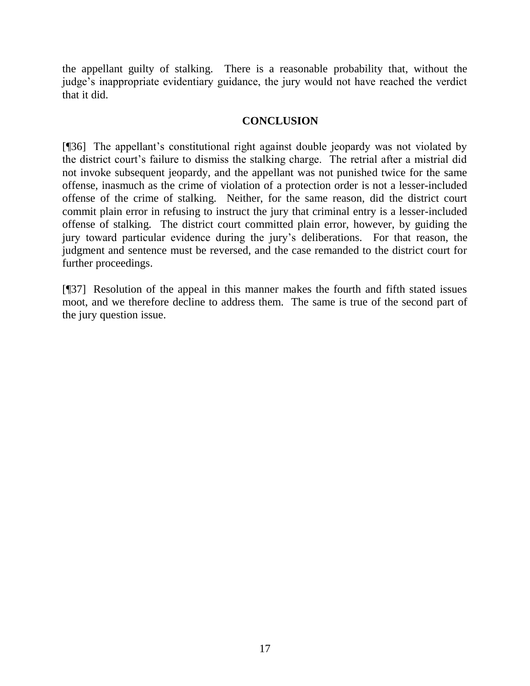the appellant guilty of stalking. There is a reasonable probability that, without the judge's inappropriate evidentiary guidance, the jury would not have reached the verdict that it did.

## **CONCLUSION**

[¶36] The appellant's constitutional right against double jeopardy was not violated by the district court's failure to dismiss the stalking charge. The retrial after a mistrial did not invoke subsequent jeopardy, and the appellant was not punished twice for the same offense, inasmuch as the crime of violation of a protection order is not a lesser-included offense of the crime of stalking. Neither, for the same reason, did the district court commit plain error in refusing to instruct the jury that criminal entry is a lesser-included offense of stalking. The district court committed plain error, however, by guiding the jury toward particular evidence during the jury's deliberations. For that reason, the judgment and sentence must be reversed, and the case remanded to the district court for further proceedings.

[¶37] Resolution of the appeal in this manner makes the fourth and fifth stated issues moot, and we therefore decline to address them. The same is true of the second part of the jury question issue.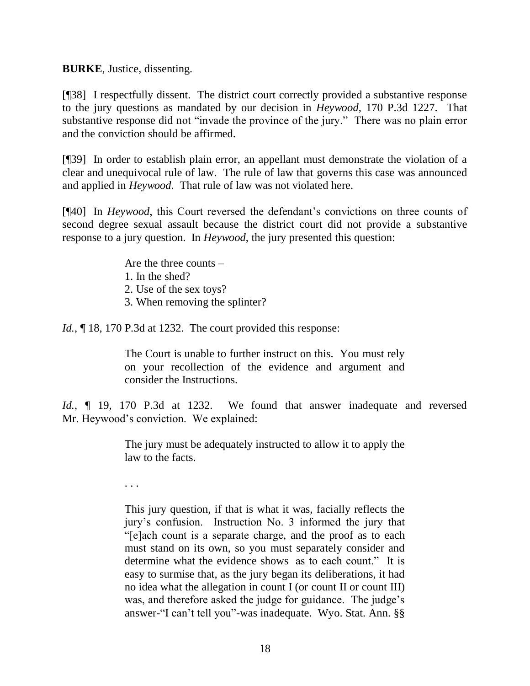**BURKE**, Justice, dissenting.

[¶38] I respectfully dissent. The district court correctly provided a substantive response to the jury questions as mandated by our decision in *Heywood*, 170 P.3d 1227. That substantive response did not "invade the province of the jury." There was no plain error and the conviction should be affirmed.

[¶39] In order to establish plain error, an appellant must demonstrate the violation of a clear and unequivocal rule of law. The rule of law that governs this case was announced and applied in *Heywood*. That rule of law was not violated here.

[¶40] In *Heywood*, this Court reversed the defendant's convictions on three counts of second degree sexual assault because the district court did not provide a substantive response to a jury question. In *Heywood*, the jury presented this question:

Are the three counts –

- 1. In the shed?
- 2. Use of the sex toys?
- 3. When removing the splinter?
- *Id.*, 18, 170 P.3d at 1232. The court provided this response:

The Court is unable to further instruct on this. You must rely on your recollection of the evidence and argument and consider the Instructions.

*Id.*, ¶ 19, 170 P.3d at 1232. We found that answer inadequate and reversed Mr. Heywood's conviction. We explained:

> The jury must be adequately instructed to allow it to apply the law to the facts.

. . .

This jury question, if that is what it was, facially reflects the jury's confusion. Instruction No. 3 informed the jury that ―[e]ach count is a separate charge, and the proof as to each must stand on its own, so you must separately consider and determine what the evidence shows as to each count." It is easy to surmise that, as the jury began its deliberations, it had no idea what the allegation in count I (or count II or count III) was, and therefore asked the judge for guidance. The judge's answer-"I can't tell you"-was inadequate. Wyo. Stat. Ann. §§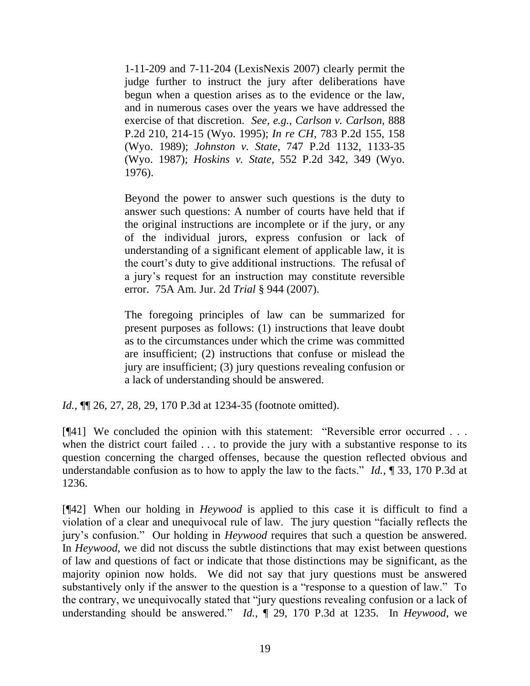1-11-209 and 7-11-204 (LexisNexis 2007) clearly permit the judge further to instruct the jury after deliberations have begun when a question arises as to the evidence or the law, and in numerous cases over the years we have addressed the exercise of that discretion. *See, e.g.*, *Carlson v. Carlson*, 888 P.2d 210, 214-15 (Wyo. 1995); *In re CH*, 783 P.2d 155, 158 (Wyo. 1989); *Johnston v. State*, 747 P.2d 1132, 1133-35 (Wyo. 1987); *Hoskins v. State*, 552 P.2d 342, 349 (Wyo. 1976).

Beyond the power to answer such questions is the duty to answer such questions: A number of courts have held that if the original instructions are incomplete or if the jury, or any of the individual jurors, express confusion or lack of understanding of a significant element of applicable law, it is the court's duty to give additional instructions. The refusal of a jury's request for an instruction may constitute reversible error. 75A Am. Jur. 2d *Trial* § 944 (2007).

The foregoing principles of law can be summarized for present purposes as follows: (1) instructions that leave doubt as to the circumstances under which the crime was committed are insufficient; (2) instructions that confuse or mislead the jury are insufficient; (3) jury questions revealing confusion or a lack of understanding should be answered.

*Id.*, ¶¶ 26, 27, 28, 29, 170 P.3d at 1234-35 (footnote omitted).

 $[$ [41] We concluded the opinion with this statement: "Reversible error occurred  $\ldots$ when the district court failed . . . to provide the jury with a substantive response to its question concerning the charged offenses, because the question reflected obvious and understandable confusion as to how to apply the law to the facts."  $Id.$ ,  $\P$  33, 170 P.3d at 1236.

[¶42] When our holding in *Heywood* is applied to this case it is difficult to find a violation of a clear and unequivocal rule of law. The jury question "facially reflects the jury's confusion." Our holding in *Heywood* requires that such a question be answered. In *Heywood*, we did not discuss the subtle distinctions that may exist between questions of law and questions of fact or indicate that those distinctions may be significant, as the majority opinion now holds. We did not say that jury questions must be answered substantively only if the answer to the question is a "response to a question of law." To the contrary, we unequivocally stated that "jury questions revealing confusion or a lack of understanding should be answered." *Id.*,  $\parallel$  29, 170 P.3d at 1235. In *Heywood*, we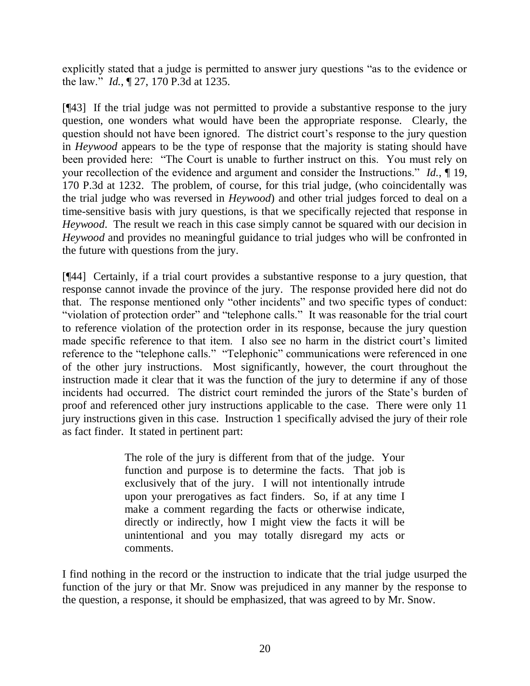explicitly stated that a judge is permitted to answer jury questions "as to the evidence or the law.‖ *Id.*, ¶ 27, 170 P.3d at 1235.

[¶43] If the trial judge was not permitted to provide a substantive response to the jury question, one wonders what would have been the appropriate response. Clearly, the question should not have been ignored. The district court's response to the jury question in *Heywood* appears to be the type of response that the majority is stating should have been provided here: "The Court is unable to further instruct on this. You must rely on your recollection of the evidence and argument and consider the Instructions." *Id.*, ¶ 19, 170 P.3d at 1232. The problem, of course, for this trial judge, (who coincidentally was the trial judge who was reversed in *Heywood*) and other trial judges forced to deal on a time-sensitive basis with jury questions, is that we specifically rejected that response in *Heywood*. The result we reach in this case simply cannot be squared with our decision in *Heywood* and provides no meaningful guidance to trial judges who will be confronted in the future with questions from the jury.

[¶44] Certainly, if a trial court provides a substantive response to a jury question, that response cannot invade the province of the jury. The response provided here did not do that. The response mentioned only "other incidents" and two specific types of conduct: "violation of protection order" and "telephone calls." It was reasonable for the trial court to reference violation of the protection order in its response, because the jury question made specific reference to that item. I also see no harm in the district court's limited reference to the "telephone calls." "Telephonic" communications were referenced in one of the other jury instructions. Most significantly, however, the court throughout the instruction made it clear that it was the function of the jury to determine if any of those incidents had occurred. The district court reminded the jurors of the State's burden of proof and referenced other jury instructions applicable to the case. There were only 11 jury instructions given in this case. Instruction 1 specifically advised the jury of their role as fact finder. It stated in pertinent part:

> The role of the jury is different from that of the judge. Your function and purpose is to determine the facts. That job is exclusively that of the jury. I will not intentionally intrude upon your prerogatives as fact finders. So, if at any time I make a comment regarding the facts or otherwise indicate, directly or indirectly, how I might view the facts it will be unintentional and you may totally disregard my acts or comments.

I find nothing in the record or the instruction to indicate that the trial judge usurped the function of the jury or that Mr. Snow was prejudiced in any manner by the response to the question, a response, it should be emphasized, that was agreed to by Mr. Snow.